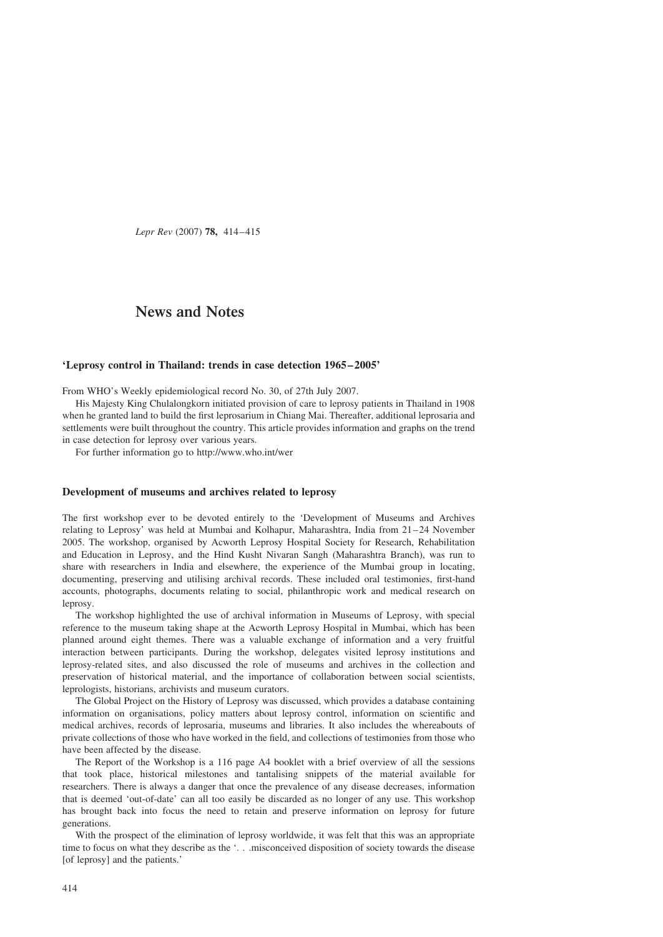Lepr Rev (2007) 78, 414–415

## News and Notes

## 'Leprosy control in Thailand: trends in case detection 1965 –2005'

From WHO's Weekly epidemiological record No. 30, of 27th July 2007.

His Majesty King Chulalongkorn initiated provision of care to leprosy patients in Thailand in 1908 when he granted land to build the first leprosarium in Chiang Mai. Thereafter, additional leprosaria and settlements were built throughout the country. This article provides information and graphs on the trend in case detection for leprosy over various years.

For further information go to<http://www.who.int/wer>

## Development of museums and archives related to leprosy

The first workshop ever to be devoted entirely to the 'Development of Museums and Archives relating to Leprosy' was held at Mumbai and Kolhapur, Maharashtra, India from 21–24 November 2005. The workshop, organised by Acworth Leprosy Hospital Society for Research, Rehabilitation and Education in Leprosy, and the Hind Kusht Nivaran Sangh (Maharashtra Branch), was run to share with researchers in India and elsewhere, the experience of the Mumbai group in locating, documenting, preserving and utilising archival records. These included oral testimonies, first-hand accounts, photographs, documents relating to social, philanthropic work and medical research on leprosy.

The workshop highlighted the use of archival information in Museums of Leprosy, with special reference to the museum taking shape at the Acworth Leprosy Hospital in Mumbai, which has been planned around eight themes. There was a valuable exchange of information and a very fruitful interaction between participants. During the workshop, delegates visited leprosy institutions and leprosy-related sites, and also discussed the role of museums and archives in the collection and preservation of historical material, and the importance of collaboration between social scientists, leprologists, historians, archivists and museum curators.

The Global Project on the History of Leprosy was discussed, which provides a database containing information on organisations, policy matters about leprosy control, information on scientific and medical archives, records of leprosaria, museums and libraries. It also includes the whereabouts of private collections of those who have worked in the field, and collections of testimonies from those who have been affected by the disease.

The Report of the Workshop is a 116 page A4 booklet with a brief overview of all the sessions that took place, historical milestones and tantalising snippets of the material available for researchers. There is always a danger that once the prevalence of any disease decreases, information that is deemed 'out-of-date' can all too easily be discarded as no longer of any use. This workshop has brought back into focus the need to retain and preserve information on leprosy for future generations.

With the prospect of the elimination of leprosy worldwide, it was felt that this was an appropriate time to focus on what they describe as the '... misconceived disposition of society towards the disease [of leprosy] and the patients.'